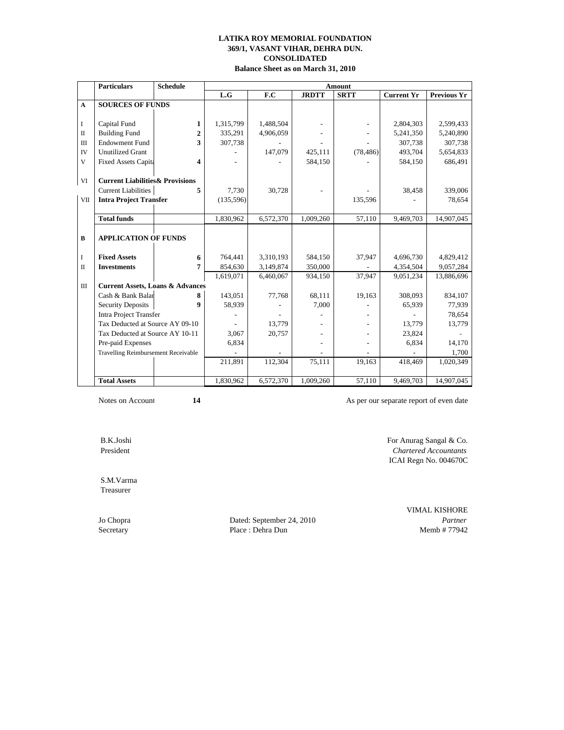**Balance Sheet as on March 31, 2010**

|              | <b>Particulars</b>                          | <b>Schedule</b>         | Amount     |           |              |             |                   |                    |
|--------------|---------------------------------------------|-------------------------|------------|-----------|--------------|-------------|-------------------|--------------------|
|              |                                             |                         | L.G        | F.C       | <b>JRDTT</b> | <b>SRTT</b> | <b>Current Yr</b> | <b>Previous Yr</b> |
| $\mathbf{A}$ | <b>SOURCES OF FUNDS</b>                     |                         |            |           |              |             |                   |                    |
|              |                                             |                         |            |           |              |             |                   |                    |
| I            | Capital Fund                                | 1                       | 1,315,799  | 1,488,504 |              |             | 2,804,303         | 2,599,433          |
| $\mathbf{I}$ | <b>Building Fund</b>                        | $\overline{2}$          | 335,291    | 4,906,059 |              |             | 5,241,350         | 5,240,890          |
| $\mathbf{I}$ | <b>Endowment Fund</b>                       | 3                       | 307,738    |           |              |             | 307,738           | 307,738            |
| IV           | <b>Unutilized Grant</b>                     |                         |            | 147,079   | 425,111      | (78, 486)   | 493,704           | 5,654,833          |
| $\mathbf{V}$ | <b>Fixed Assets Capita</b>                  | $\overline{\mathbf{4}}$ |            |           | 584,150      |             | 584,150           | 686,491            |
|              |                                             |                         |            |           |              |             |                   |                    |
| $\rm VI$     | <b>Current Liabilities &amp; Provisions</b> |                         |            |           |              |             |                   |                    |
|              | <b>Current Liabilities</b>                  | 5                       | 7,730      | 30,728    |              |             | 38,458            | 339,006            |
| <b>VII</b>   | <b>Intra Project Transfer</b>               |                         | (135, 596) |           |              | 135,596     |                   | 78,654             |
|              |                                             |                         |            |           |              |             |                   |                    |
|              | <b>Total funds</b>                          |                         | 1,830,962  | 6,572,370 | 1,009,260    | 57,110      | 9,469,703         | 14,907,045         |
|              |                                             |                         |            |           |              |             |                   |                    |
| B            | <b>APPLICATION OF FUNDS</b>                 |                         |            |           |              |             |                   |                    |
|              |                                             |                         |            |           |              |             |                   |                    |
| I            | <b>Fixed Assets</b>                         | 6                       | 764,441    | 3,310,193 | 584,150      | 37,947      | 4,696,730         | 4,829,412          |
| $\mathbf{I}$ | <b>Investments</b>                          | 7                       | 854,630    | 3,149,874 | 350,000      |             | 4,354,504         | 9,057,284          |
|              |                                             |                         | 1,619,071  | 6,460,067 | 934,150      | 37,947      | 9,051,234         | 13,886,696         |
| $\mathbf{I}$ | <b>Current Assets, Loans &amp; Advances</b> |                         |            |           |              |             |                   |                    |
|              | Cash & Bank Balar                           | 8                       | 143,051    | 77,768    | 68,111       | 19,163      | 308,093           | 834,107            |
|              | <b>Security Deposits</b>                    | 9                       | 58,939     |           | 7,000        |             | 65,939            | 77,939             |
|              | <b>Intra Project Transfer</b>               |                         |            |           |              |             |                   | 78,654             |
|              | Tax Deducted at Source AY 09-10             |                         |            | 13,779    |              |             | 13,779            | 13,779             |
|              | Tax Deducted at Source AY 10-11             |                         | 3,067      | 20,757    |              |             | 23,824            |                    |
|              | Pre-paid Expenses                           |                         | 6,834      |           |              |             | 6,834             | 14,170             |
|              | <b>Travelling Reimbursement Receivable</b>  |                         |            |           |              |             |                   | 1,700              |
|              |                                             |                         | 211,891    | 112,304   | 75,111       | 19,163      | 418,469           | 1,020,349          |
|              | <b>Total Assets</b>                         |                         | 1,830,962  | 6,572,370 | 1,009,260    | 57,110      | 9,469,703         | 14,907,045         |

Notes on Account 14 **14** As per our separate report of even date

B.K.Joshi For Anurag Sangal & Co.

 S.M.Varma Treasurer

Jo Chopra Dated: September 24, 2010 *Partner* Secretary Place : Dehra Dun Memb # 77942

 President *Chartered Accountants* ICAI Regn No. 004670C

VIMAL KISHORE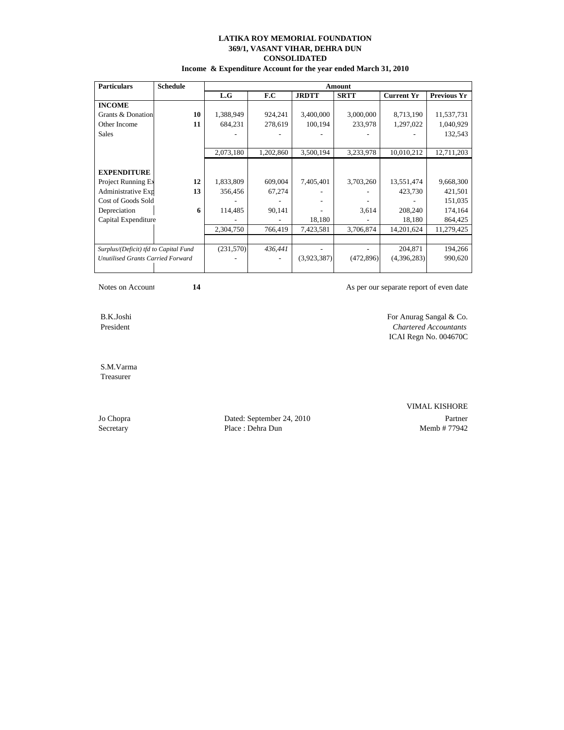**Income & Expenditure Account for the year ended March 31, 2010**

| <b>Particulars</b>                    | <b>Schedule</b> | Amount    |           |              |             |                   |                    |  |  |
|---------------------------------------|-----------------|-----------|-----------|--------------|-------------|-------------------|--------------------|--|--|
|                                       |                 | L.G       | F.C       | <b>JRDTT</b> | <b>SRTT</b> | <b>Current Yr</b> | <b>Previous Yr</b> |  |  |
| <b>INCOME</b>                         |                 |           |           |              |             |                   |                    |  |  |
| Grants & Donation                     | 10              | 1,388,949 | 924,241   | 3,400,000    | 3,000,000   | 8,713,190         | 11,537,731         |  |  |
| Other Income                          | 11              | 684,231   | 278,619   | 100,194      | 233,978     | 1,297,022         | 1,040,929          |  |  |
| <b>Sales</b>                          |                 |           |           |              |             |                   | 132,543            |  |  |
|                                       |                 |           |           |              |             |                   |                    |  |  |
|                                       |                 | 2,073,180 | 1,202,860 | 3,500,194    | 3,233,978   | 10,010,212        | 12,711,203         |  |  |
|                                       |                 |           |           |              |             |                   |                    |  |  |
| <b>EXPENDITURE</b>                    |                 |           |           |              |             |                   |                    |  |  |
| Project Running Ex                    | 12              | 1,833,809 | 609,004   | 7,405,401    | 3,703,260   | 13,551,474        | 9,668,300          |  |  |
| Administrative Exp                    | 13              | 356,456   | 67,274    |              |             | 423,730           | 421,501            |  |  |
| Cost of Goods Sold                    |                 |           |           |              |             |                   | 151,035            |  |  |
| Depreciation                          | 6               | 114,485   | 90,141    |              | 3,614       | 208,240           | 174,164            |  |  |
| Capital Expenditure                   |                 |           |           | 18,180       |             | 18,180            | 864,425            |  |  |
|                                       |                 | 2,304,750 | 766,419   | 7,423,581    | 3,706,874   | 14,201,624        | 11,279,425         |  |  |
|                                       |                 |           |           |              |             |                   |                    |  |  |
| Surplus/(Deficit) tfd to Capital Fund |                 | (231,570) | 436,441   |              |             | 204,871           | 194,266            |  |  |
| Unutilised Grants Carried Forward     |                 |           |           | (3,923,387)  | (472, 896)  | (4,396,283)       | 990,620            |  |  |
|                                       |                 |           |           |              |             |                   |                    |  |  |

Notes on Account **14 As per our separate report of even date**  $\overline{A}$ 

 B.K.Joshi For Anurag Sangal & Co. President *Chartered Accountants*

 S.M.Varma Treasurer

Jo Chopra Dated: September 24, 2010 Partner Secretary Place : Dehra Dun Memb # 77942

VIMAL KISHORE

ICAI Regn No. 004670C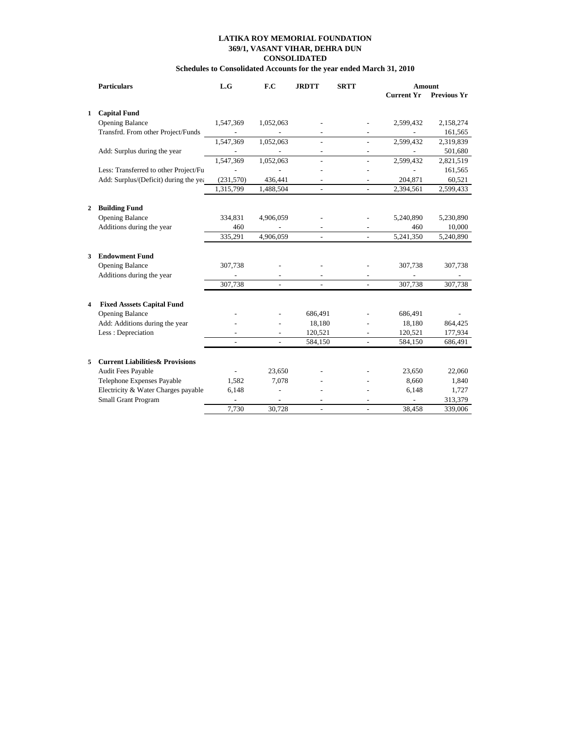## **Schedules to Consolidated Accounts for the year ended March 31, 2010**

|                         | <b>Particulars</b>                          | L.G                      | F.C       | <b>JRDTT</b>   | <b>SRTT</b>              |                   | <b>Amount</b>      |
|-------------------------|---------------------------------------------|--------------------------|-----------|----------------|--------------------------|-------------------|--------------------|
|                         |                                             |                          |           |                |                          | <b>Current Yr</b> | <b>Previous Yr</b> |
| 1                       | <b>Capital Fund</b>                         |                          |           |                |                          |                   |                    |
|                         | <b>Opening Balance</b>                      | 1,547,369                | 1,052,063 |                |                          | 2,599,432         | 2,158,274          |
|                         | Transfrd. From other Project/Funds          | $\overline{\phantom{a}}$ |           |                | $\overline{\phantom{a}}$ |                   | 161,565            |
|                         |                                             | 1,547,369                | 1,052,063 |                |                          | 2,599,432         | 2,319,839          |
|                         | Add: Surplus during the year                |                          |           |                |                          |                   | 501,680            |
|                         |                                             | 1,547,369                | 1,052,063 |                |                          | 2,599,432         | 2,821,519          |
|                         | Less: Transferred to other Project/Fu       |                          |           |                | L,                       |                   | 161,565            |
|                         | Add: Surplus/(Deficit) during the yea       | (231, 570)               | 436,441   |                | $\overline{a}$           | 204,871           | 60,521             |
|                         |                                             | 1,315,799                | 1,488,504 | $\overline{a}$ | $\overline{a}$           | 2,394,561         | 2,599,433          |
|                         |                                             |                          |           |                |                          |                   |                    |
| $\mathbf{2}$            | <b>Building Fund</b>                        |                          |           |                |                          |                   |                    |
|                         | <b>Opening Balance</b>                      | 334,831                  | 4,906,059 |                |                          | 5,240,890         | 5,230,890          |
|                         | Additions during the year                   | 460                      |           |                |                          | 460               | 10,000             |
|                         |                                             | 335,291                  | 4,906,059 |                | $\overline{a}$           | 5,241,350         | 5,240,890          |
| 3                       | <b>Endowment Fund</b>                       |                          |           |                |                          |                   |                    |
|                         | <b>Opening Balance</b>                      | 307,738                  |           |                |                          | 307,738           | 307,738            |
|                         | Additions during the year                   |                          |           |                |                          |                   |                    |
|                         |                                             | 307,738                  |           |                |                          | 307,738           | 307,738            |
|                         |                                             |                          |           |                |                          |                   |                    |
| $\overline{\mathbf{4}}$ | <b>Fixed Asssets Capital Fund</b>           |                          |           |                |                          |                   |                    |
|                         | <b>Opening Balance</b>                      |                          |           | 686,491        |                          | 686,491           |                    |
|                         | Add: Additions during the year              |                          |           | 18,180         |                          | 18,180            | 864,425            |
|                         | Less: Depreciation                          |                          |           | 120,521        |                          | 120,521           | 177,934            |
|                         |                                             |                          |           | 584,150        |                          | 584,150           | 686,491            |
| 5                       | <b>Current Liabilities &amp; Provisions</b> |                          |           |                |                          |                   |                    |
|                         | Audit Fees Payable                          |                          | 23,650    |                |                          | 23,650            | 22,060             |
|                         | Telephone Expenses Payable                  | 1,582                    | 7,078     |                |                          | 8,660             | 1,840              |
|                         | Electricity & Water Charges payable         | 6,148                    |           |                |                          | 6,148             | 1,727              |
|                         | Small Grant Program                         |                          |           |                |                          |                   | 313,379            |
|                         |                                             | 7.730                    | 30.728    |                | $\overline{a}$           | 38.458            | 339,006            |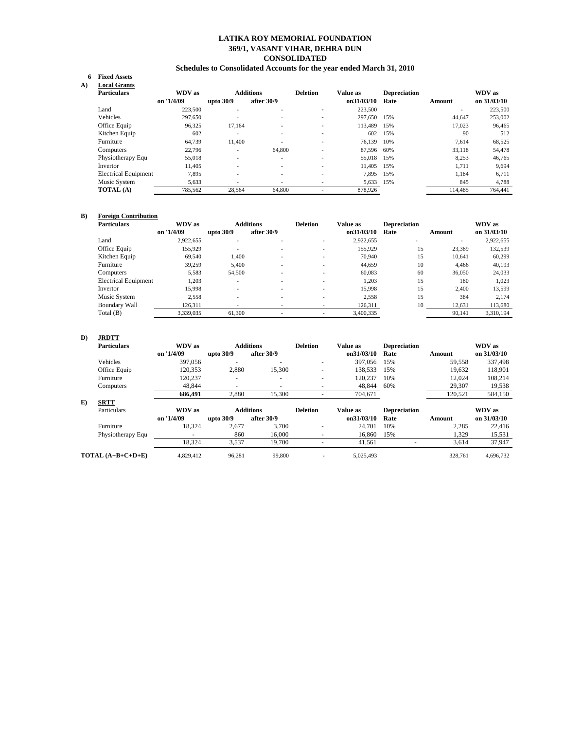## **369/1, VASANT VIHAR, DEHRA DUN CONSOLIDATED LATIKA ROY MEMORIAL FOUNDATION**

### **Schedules to Consolidated Accounts for the year ended March 31, 2010**

### **6 Fixed Assets**

| A) | <b>Local Grants</b>         |            |                          |                  |                          |            |                     |                          |             |
|----|-----------------------------|------------|--------------------------|------------------|--------------------------|------------|---------------------|--------------------------|-------------|
|    | <b>Particulars</b>          | WDV as     |                          | <b>Additions</b> | <b>Deletion</b>          | Value as   | <b>Depreciation</b> |                          | WDV as      |
|    |                             | on '1/4/09 | upto $30/9$              | after 30/9       |                          | on31/03/10 | Rate                | Amount                   | on 31/03/10 |
|    | Land                        | 223,500    | ٠                        | ۰.               | $\overline{\phantom{0}}$ | 223,500    |                     | $\overline{\phantom{a}}$ | 223,500     |
|    | Vehicles                    | 297,650    | ٠                        | ۰.               | $\overline{\phantom{0}}$ | 297,650    | 15%                 | 44.647                   | 253,002     |
|    | Office Equip                | 96,325     | 17,164                   | ۰                | $\overline{a}$           | 113.489    | 15%                 | 17,023                   | 96,465      |
|    | Kitchen Equip               | 602        | $\overline{\phantom{a}}$ | ۰.               | -                        | 602        | 15%                 | 90                       | 512         |
|    | Furniture                   | 64.739     | 11,400                   |                  | $\overline{\phantom{0}}$ | 76.139     | 10%                 | 7.614                    | 68,525      |
|    | Computers                   | 22,796     | $\overline{\phantom{a}}$ | 64,800           | $\overline{\phantom{a}}$ | 87,596     | 60%                 | 33,118                   | 54,478      |
|    | Physiotherapy Equ           | 55,018     | $\overline{\phantom{a}}$ | $\sim$           | -                        | 55.018     | 15%                 | 8,253                    | 46,765      |
|    | Invertor                    | 11.405     | $\overline{\phantom{a}}$ | ۰.               | -                        | 11.405     | 15%                 | 1,711                    | 9,694       |
|    | <b>Electrical Equipment</b> | 7,895      | ٠                        | ۰.               | $\overline{\phantom{a}}$ | 7.895      | 15%                 | 1.184                    | 6,711       |
|    | Music System                | 5,633      |                          |                  | -                        | 5,633      | 15%                 | 845                      | 4,788       |
|    | <b>TOTAL</b> (A)            | 785,562    | 28,564                   | 64,800           | ۰.                       | 878,926    |                     | 114.485                  | 764.441     |

#### **B) Foreign Contribution**

| <b>Particulars</b>          | WDV as     |             | <b>Additions</b> | <b>Deletion</b> | <b>Value as</b> | <b>Depreciation</b> |        | WDV as      |
|-----------------------------|------------|-------------|------------------|-----------------|-----------------|---------------------|--------|-------------|
|                             | on '1/4/09 | upto $30/9$ | after $30/9$     |                 | on31/03/10      | Rate                | Amount | on 31/03/10 |
| Land                        | 2,922,655  |             |                  |                 | 2,922,655       |                     |        | 2,922,655   |
| Office Equip                | 155,929    |             |                  | ۰               | 155,929         | 15                  | 23,389 | 132,539     |
| Kitchen Equip               | 69.540     | 1.400       |                  | ۰               | 70.940          | 15                  | 10.641 | 60.299      |
| Furniture                   | 39,259     | 5.400       |                  | ۰               | 44,659          | 10                  | 4.466  | 40,193      |
| Computers                   | 5,583      | 54,500      |                  | ۰               | 60.083          | 60                  | 36,050 | 24,033      |
| <b>Electrical Equipment</b> | 1.203      | ۰           |                  | ۰               | 1.203           | 15                  | 180    | 1.023       |
| Invertor                    | 15.998     |             |                  | ۰               | 15.998          | 15                  | 2.400  | 13,599      |
| Music System                | 2.558      |             |                  |                 | 2,558           | 15                  | 384    | 2.174       |
| <b>Boundary Wall</b>        | 126,311    |             |                  |                 | 126,311         | 10                  | 12,631 | 113,680     |
| Total (B)                   | 3,339,035  | 61,300      |                  |                 | 3,400,335       |                     | 90.141 | 3.310.194   |

### **D) JRDTT**

|    | <b>Particulars</b> | WDV as                   |             | <b>Additions</b>         | <b>Deletion</b>          | Value as   | <b>Depreciation</b> |               | WDV as      |
|----|--------------------|--------------------------|-------------|--------------------------|--------------------------|------------|---------------------|---------------|-------------|
|    |                    | on '1/4/09               | upto 30/9   | after 30/9               |                          | on31/03/10 | Rate                | <b>Amount</b> | on 31/03/10 |
|    | Vehicles           | 397,056                  | н.          | $\overline{a}$           |                          | 397,056    | 15%                 | 59,558        | 337,498     |
|    | Office Equip       | 120.353                  | 2,880       | 15,300                   | $\overline{\phantom{a}}$ | 138.533    | 15%                 | 19.632        | 118,901     |
|    | Furniture          | 120,237                  |             | $\overline{a}$           | $\overline{\phantom{a}}$ | 120.237    | 10%                 | 12,024        | 108,214     |
|    | Computers          | 48.844                   |             | $\overline{\phantom{a}}$ | -                        | 48,844     | 60%                 | 29,307        | 19,538      |
|    |                    | 686.491                  | 2,880       | 15,300                   |                          | 704,671    |                     | 120,521       | 584,150     |
| E) | <b>SRTT</b>        |                          |             |                          |                          |            |                     |               |             |
|    |                    |                          |             |                          |                          |            |                     |               |             |
|    | Particulars        | WDV as                   |             | <b>Additions</b>         | <b>Deletion</b>          | Value as   | <b>Depreciation</b> |               | WDV as      |
|    |                    | on '1/4/09               | upto $30/9$ | after 30/9               |                          | on31/03/10 | Rate                | Amount        | on 31/03/10 |
|    | Furniture          | 18,324                   | 2,677       | 3.700                    |                          | 24.701     | 10%                 | 2,285         | 22,416      |
|    | Physiotherapy Equ  | $\overline{\phantom{a}}$ | 860         | 16,000                   |                          | 16.860     | 15%                 | 1,329         | 15,531      |
|    |                    | 18,324                   | 3,537       | 19,700                   |                          | 41,561     |                     | 3,614         | 37,947      |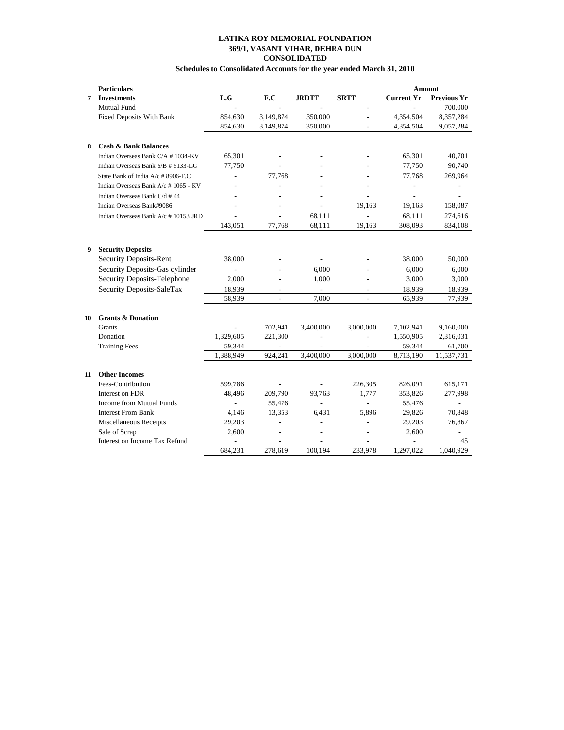## **Schedules to Consolidated Accounts for the year ended March 31, 2010**

|    | <b>Particulars</b>                     |                |                |                |                          | <b>Amount</b>     |                          |
|----|----------------------------------------|----------------|----------------|----------------|--------------------------|-------------------|--------------------------|
| 7  | <b>Investments</b>                     | L.G            | F.C            | <b>JRDTT</b>   | <b>SRTT</b>              | <b>Current Yr</b> | <b>Previous Yr</b>       |
|    | Mutual Fund                            |                |                |                |                          |                   | 700,000                  |
|    | Fixed Deposits With Bank               | 854,630        | 3,149,874      | 350,000        |                          | 4,354,504         | 8,357,284                |
|    |                                        | 854,630        | 3,149,874      | 350,000        | $\overline{a}$           | 4,354,504         | 9,057,284                |
|    |                                        |                |                |                |                          |                   |                          |
| 8  | <b>Cash &amp; Bank Balances</b>        |                |                |                |                          |                   |                          |
|    | Indian Overseas Bank C/A #1034-KV      | 65,301         |                |                |                          | 65,301            | 40,701                   |
|    | Indian Overseas Bank S/B # 5133-LG     | 77,750         |                |                |                          | 77,750            | 90,740                   |
|    | State Bank of India A/c # 8906-F.C     |                | 77,768         |                |                          | 77,768            | 269,964                  |
|    | Indian Overseas Bank A/c #1065 - KV    |                |                |                |                          |                   |                          |
|    | Indian Overseas Bank C/d #44           |                |                |                |                          | L,                |                          |
|    | Indian Overseas Bank#9086              |                |                |                | 19.163                   | 19,163            | 158,087                  |
|    | Indian Overseas Bank A/c # 10153 JRD'. | $\overline{a}$ |                | 68,111         | $\overline{\phantom{0}}$ | 68,111            | 274,616                  |
|    |                                        | 143.051        | 77.768         | 68.111         | 19.163                   | 308,093           | 834,108                  |
|    |                                        |                |                |                |                          |                   |                          |
| 9  | <b>Security Deposits</b>               |                |                |                |                          |                   |                          |
|    | <b>Security Deposits-Rent</b>          | 38,000         |                |                |                          | 38,000            | 50,000                   |
|    | Security Deposits-Gas cylinder         |                |                | 6,000          |                          | 6,000             | 6,000                    |
|    | Security Deposits-Telephone            | 2,000          |                | 1,000          |                          | 3,000             | 3,000                    |
|    | Security Deposits-SaleTax              | 18,939         |                |                | $\qquad \qquad -$        | 18,939            | 18,939                   |
|    |                                        | 58,939         |                | 7,000          |                          | 65,939            | 77,939                   |
|    |                                        |                |                |                |                          |                   |                          |
| 10 | <b>Grants &amp; Donation</b>           |                |                |                |                          |                   |                          |
|    | <b>Grants</b>                          |                | 702,941        | 3,400,000      | 3,000,000                | 7,102,941         | 9,160,000                |
|    | Donation                               | 1,329,605      | 221,300        |                |                          | 1,550,905         | 2,316,031                |
|    | <b>Training Fees</b>                   | 59,344         | $\overline{a}$ |                |                          | 59,344            | 61,700                   |
|    |                                        | 1,388,949      | 924.241        | 3.400.000      | 3,000,000                | 8,713,190         | 11,537,731               |
|    |                                        |                |                |                |                          |                   |                          |
| 11 | <b>Other Incomes</b>                   |                |                |                |                          |                   |                          |
|    | Fees-Contribution                      | 599,786        |                |                | 226,305                  | 826,091           | 615,171                  |
|    | Interest on FDR                        | 48,496         | 209,790        | 93.763         | 1.777                    | 353,826           | 277,998                  |
|    | Income from Mutual Funds               | $\overline{a}$ | 55,476         | $\overline{a}$ | $\overline{a}$           | 55,476            | $\overline{\phantom{a}}$ |
|    | <b>Interest From Bank</b>              | 4,146          | 13,353         | 6,431          | 5.896                    | 29,826            | 70,848                   |
|    | Miscellaneous Receipts                 | 29,203         |                |                | $\overline{a}$           | 29,203            | 76,867                   |
|    | Sale of Scrap                          | 2,600          | L,             |                | $\overline{a}$           | 2,600             | $\overline{\phantom{a}}$ |
|    | Interest on Income Tax Refund          |                |                |                |                          |                   | 45                       |
|    |                                        | 684,231        | 278,619        | 100,194        | 233,978                  | 1,297,022         | 1,040,929                |